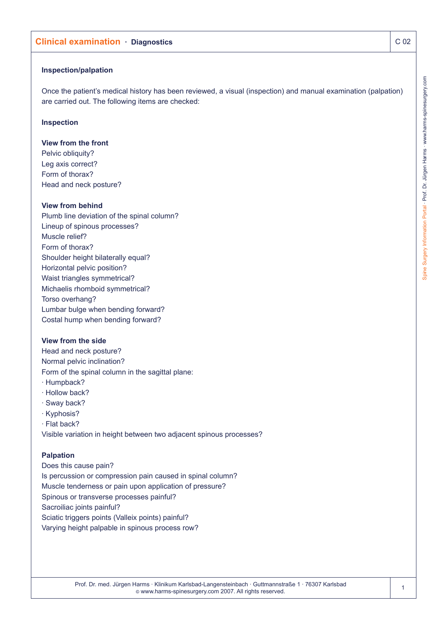# **Clinical examination · Diagnostics CO2**

### **Inspection/palpation**

Once the patient's medical history has been reviewed, a visual (inspection) and manual examination (palpation) are carried out. The following items are checked:

## **Inspection**

### **View from the front**

Pelvic obliquity? Leg axis correct? Form of thorax? Head and neck posture?

# **View from behind**

Plumb line deviation of the spinal column? Lineup of spinous processes? Muscle relief? Form of thorax? Shoulder height bilaterally equal? Horizontal pelvic position? Waist triangles symmetrical? Michaelis rhomboid symmetrical? Torso overhang? Lumbar bulge when bending forward? Costal hump when bending forward?

## **View from the side**

Head and neck posture? Normal pelvic inclination? Form of the spinal column in the sagittal plane: · Humpback? · Hollow back?

- · Sway back?
- · Kyphosis?
- · Flat back?

Visible variation in height between two adjacent spinous processes?

### **Palpation**

Does this cause pain? Is percussion or compression pain caused in spinal column? Muscle tenderness or pain upon application of pressure? Spinous or transverse processes painful? Sacroiliac joints painful? Sciatic triggers points (Valleix points) painful? Varying height palpable in spinous process row?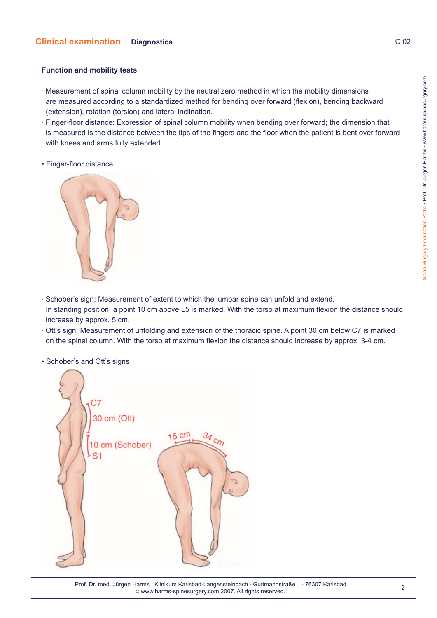## **Function and mobility tests**

- · Measurement of spinal column mobility by the neutral zero method in which the mobility dimensions are measured according to a standardized method for bending over forward (flexion), bending backward (extension), rotation (torsion) and lateral inclination.
- · Finger-floor distance: Expression of spinal column mobility when bending over forward; the dimension that is measured is the distance between the tips of the fingers and the floor when the patient is bent over forward with knees and arms fully extended.
- Finger-floor distance



- · Schober's sign: Measurement of extent to which the lumbar spine can unfold and extend. In standing position, a point 10 cm above L5 is marked. With the torso at maximum flexion the distance should increase by approx. 5 cm.
- · Ott's sign: Measurement of unfolding and extension of the thoracic spine. A point 30 cm below C7 is marked on the spinal column. With the torso at maximum flexion the distance should increase by approx. 3-4 cm.
- Schober's and Ott's signs

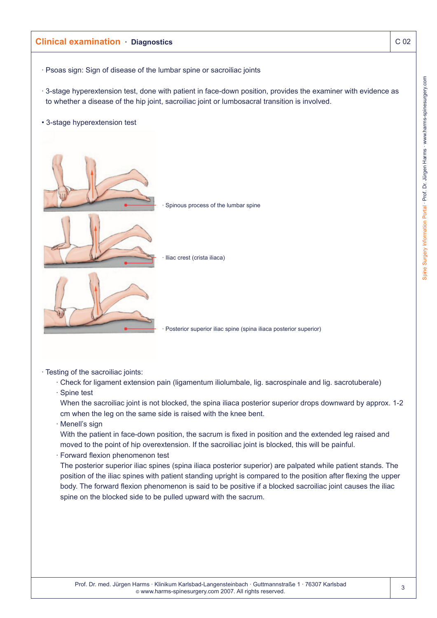

· Testing of the sacroiliac joints:

· Check for ligament extension pain (ligamentum iliolumbale, lig. sacrospinale and lig. sacrotuberale)

· Spine test

When the sacroiliac joint is not blocked, the spina iliaca posterior superior drops downward by approx. 1-2 cm when the leg on the same side is raised with the knee bent.

· Menell's sign

With the patient in face-down position, the sacrum is fixed in position and the extended leg raised and moved to the point of hip overextension. If the sacroiliac joint is blocked, this will be painful.

· Forward flexion phenomenon test

The posterior superior iliac spines (spina iliaca posterior superior) are palpated while patient stands. The position of the iliac spines with patient standing upright is compared to the position after flexing the upper body. The forward flexion phenomenon is said to be positive if a blocked sacroiliac joint causes the iliac spine on the blocked side to be pulled upward with the sacrum.

3

Spine Surgery Information Portal · Prof. Dr. Jürgen Harms · www.harms-spinesurgery.com

Spine Surgery Information Portal · Prof. Dr. Jürgen Harms · www.harms-spinesurgery.com